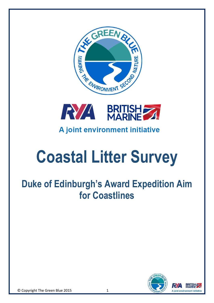



## A joint environment initiative

## **Coastal Litter Survey**

## **Duke of Edinburgh's Award Expedition Aim for Coastlines**

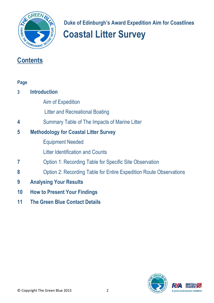

 **Duke of Edinburgh's Award Expedition Aim for Coastlines**

# **Coastal Litter Survey**

### **Contents**

| Page |                                                                           |  |  |  |  |  |  |
|------|---------------------------------------------------------------------------|--|--|--|--|--|--|
| 3    | <b>Introduction</b>                                                       |  |  |  |  |  |  |
|      | <b>Aim of Expedition</b>                                                  |  |  |  |  |  |  |
|      | <b>Litter and Recreational Boating</b>                                    |  |  |  |  |  |  |
| 4    | Summary Table of The Impacts of Marine Litter                             |  |  |  |  |  |  |
| 5    | <b>Methodology for Coastal Litter Survey</b>                              |  |  |  |  |  |  |
|      | <b>Equipment Needed</b>                                                   |  |  |  |  |  |  |
|      | <b>Litter Identification and Counts</b>                                   |  |  |  |  |  |  |
|      | Option 1: Recording Table for Specific Site Observation                   |  |  |  |  |  |  |
| 8    | <b>Option 2: Recording Table for Entire Expedition Route Observations</b> |  |  |  |  |  |  |
| 9    | <b>Analysing Your Results</b>                                             |  |  |  |  |  |  |
| 10   | <b>How to Present Your Findings</b>                                       |  |  |  |  |  |  |
|      |                                                                           |  |  |  |  |  |  |

**11 The Green Blue Contact Details**

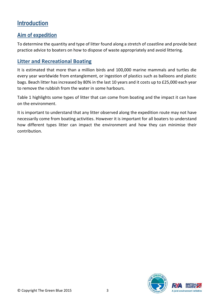#### **Introduction**

#### **Aim of expedition**

To determine the quantity and type of litter found along a stretch of coastline and provide best practice advice to boaters on how to dispose of waste appropriately and avoid littering.

#### **Litter and Recreational Boating**

It is estimated that more than a million birds and 100,000 marine mammals and turtles die every year worldwide from entanglement, or ingestion of plastics such as balloons and plastic bags. Beach litter has increased by 80% in the last 10 years and it costs up to £25,000 each year to remove the rubbish from the water in some harbours.

Table 1 highlights some types of litter that can come from boating and the impact it can have on the environment.

It is important to understand that any litter observed along the expedition route may not have necessarily come from boating activities. However it is important for all boaters to understand how different types litter can impact the environment and how they can minimise their contribution.

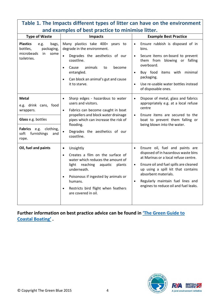| and examples of best practice to minimise litter.                                                                                            |                                                                                                                                                                                                                                                                                                              |                                                                                                                                                                                                                                                                                                                                             |  |  |  |
|----------------------------------------------------------------------------------------------------------------------------------------------|--------------------------------------------------------------------------------------------------------------------------------------------------------------------------------------------------------------------------------------------------------------------------------------------------------------|---------------------------------------------------------------------------------------------------------------------------------------------------------------------------------------------------------------------------------------------------------------------------------------------------------------------------------------------|--|--|--|
| <b>Type of Waste</b>                                                                                                                         | <b>Impacts</b>                                                                                                                                                                                                                                                                                               | <b>Example Best Practice</b>                                                                                                                                                                                                                                                                                                                |  |  |  |
| <b>Plastics</b><br>bags,<br>e.g.<br>bottles,<br>packaging,<br>microbeads<br>some<br>in<br>toiletries.                                        | Many plastics take 400+ years to<br>degrade in the environment.<br>Degrades the aesthetics of our<br>$\bullet$<br>coastline.<br>animals<br>Cause<br>become<br>to<br>$\bullet$<br>entangled.<br>Can block an animal's gut and cause<br>$\bullet$<br>it to starve.                                             | Ensure rubbish is disposed of in<br>$\bullet$<br>bins.<br>Secure items on-board to prevent<br>$\bullet$<br>them from blowing or falling<br>overboard.<br>Buy food<br>items with minimal<br>$\bullet$<br>packaging.<br>Use re-usable water bottles instead<br>$\bullet$<br>of disposable ones.                                               |  |  |  |
| <b>Metal</b><br>e.g. drink cans, food<br>wrappers.<br>Glass e.g. bottles<br>Fabrics e.g.<br>clothing,<br>soft<br>furnishings<br>and<br>rope. | Sharp edges - hazardous to water<br>$\bullet$<br>users and visitors.<br>Fabrics can become caught in boat<br>$\bullet$<br>propellers and block water drainage<br>pipes which can increase the risk of<br>flooding.<br>Degrades the aesthetics of our<br>$\bullet$<br>coastline.                              | Dispose of metal, glass and fabrics<br>$\bullet$<br>appropriately e.g. at a local refuse<br>centre<br>Ensure items are secured to the<br>$\bullet$<br>boat to prevent them falling or<br>being blown into the water.                                                                                                                        |  |  |  |
| Oil, fuel and paints                                                                                                                         | Unsightly<br>$\bullet$<br>Creates a film on the surface of<br>$\bullet$<br>water which reduces the amount of<br>light reaching<br>aquatic<br>plants<br>underneath.<br>Poisonous if ingested by animals or<br>$\bullet$<br>humans.<br>Restricts bird flight when feathers<br>$\bullet$<br>are covered in oil. | Ensure oil, fuel and paints are<br>$\bullet$<br>disposed of in hazardous waste bins<br>at Marinas or a local refuse centre.<br>Ensure oil and fuel spills are cleaned<br>$\bullet$<br>up using a spill kit that contains<br>absorbent materials.<br>Regularly maintain fuel lines and<br>$\bullet$<br>engines to reduce oil and fuel leaks. |  |  |  |

## **Table 1. The Impacts different types of litter can have on the environment**

**Further information on best practice advice can be found in ['The Green Guide to](http://www.thegreenblue.org.uk/PDF/Guide%20to%20Inland%20Boating.pdf)  Coastal [Boating'](http://www.thegreenblue.org.uk/PDF/Guide%20to%20Inland%20Boating.pdf) .**

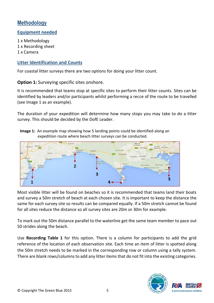#### **Methodology**

#### **Equipment needed**

1 x Methodology 1 x Recording sheet 1 x Camera

#### **Litter Identification and Counts**

For coastal litter surveys there are two options for doing your litter count.

**Option 1:** Surveying specific sites onshore.

It is recommended that teams stop at specific sites to perform their litter counts. Sites can be identified by leaders and/or participants whilst performing a recce of the route to be travelled (see Image 1 as an example).

The duration of your expedition will determine how many stops you may take to do a litter survey. This should be decided by the DofE Leader.



**Image 1:** An example map showing how 5 landing points could be identified along an expedition route where beach litter surveys can be conducted.

Most visible litter will be found on beaches so it is recommended that teams land their boats and survey a 50m stretch of beach at each chosen site. It is important to keep the distance the same for each survey site so results can be compared equally. If a 50m stretch cannot be found for all sites reduce the distance so all survey sites are 20m or 30m for example.

To mark out the 50m distance parallel to the waterline get the same team member to pace out 50 strides along the beach.

Use **Recording Table 1** for this option. There is a column for participants to add the grid reference of the location of each observation site. Each time an item of litter is spotted along the 50m stretch needs to be marked in the corresponding row or column using a tally system. There are blank rows/columns to add any litter items that do not fit into the existing categories.

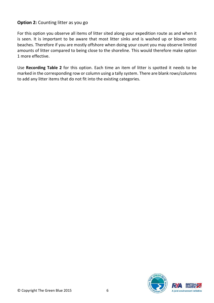#### **Option 2:** Counting litter as you go

For this option you observe all items of litter sited along your expedition route as and when it is seen. It is important to be aware that most litter sinks and is washed up or blown onto beaches. Therefore if you are mostly offshore when doing your count you may observe limited amounts of litter compared to being close to the shoreline. This would therefore make option 1 more effective.

Use **Recording Table 2** for this option. Each time an item of litter is spotted it needs to be marked in the corresponding row or column using a tally system. There are blank rows/columns to add any litter items that do not fit into the existing categories.

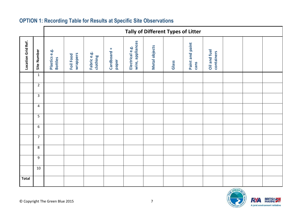|                    |                | Tally of Different Types of Litter |                       |                         |                      |                                     |                      |       |                         |                            |  |  |
|--------------------|----------------|------------------------------------|-----------------------|-------------------------|----------------------|-------------------------------------|----------------------|-------|-------------------------|----------------------------|--|--|
| Location Grid Ref. | Site Number    | Plastics e.g.<br><b>Bottles</b>    | wrappers<br>Foil Food | Fabric e.g.<br>clothing | Cardboard +<br>paper | wire, appliances<br>Electrical e.g. | <b>Metal objects</b> | Glass | Paint and paint<br>cans | Oil and fuel<br>containers |  |  |
|                    | $\mathbf{1}$   |                                    |                       |                         |                      |                                     |                      |       |                         |                            |  |  |
|                    | $\overline{2}$ |                                    |                       |                         |                      |                                     |                      |       |                         |                            |  |  |
|                    | $\mathbf{3}$   |                                    |                       |                         |                      |                                     |                      |       |                         |                            |  |  |
|                    | $\overline{4}$ |                                    |                       |                         |                      |                                     |                      |       |                         |                            |  |  |
|                    | 5              |                                    |                       |                         |                      |                                     |                      |       |                         |                            |  |  |
|                    | $6\phantom{1}$ |                                    |                       |                         |                      |                                     |                      |       |                         |                            |  |  |
|                    | $\overline{7}$ |                                    |                       |                         |                      |                                     |                      |       |                         |                            |  |  |
|                    | 8              |                                    |                       |                         |                      |                                     |                      |       |                         |                            |  |  |
|                    | 9              |                                    |                       |                         |                      |                                     |                      |       |                         |                            |  |  |
|                    | 10             |                                    |                       |                         |                      |                                     |                      |       |                         |                            |  |  |
| <b>Total</b>       |                |                                    |                       |                         |                      |                                     |                      |       |                         |                            |  |  |

#### **OPTION 1: Recording Table for Results at Specific Site Observations**

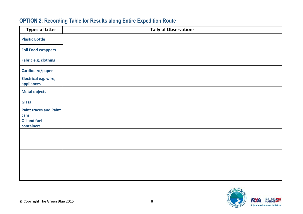#### **OPTION 2: Recording Table for Results along Entire Expedition Route**

| <b>Types of Litter</b>                | <b>Tally of Observations</b> |  |  |  |  |  |
|---------------------------------------|------------------------------|--|--|--|--|--|
| <b>Plastic Bottle</b>                 |                              |  |  |  |  |  |
| <b>Foil Food wrappers</b>             |                              |  |  |  |  |  |
| Fabric e.g. clothing                  |                              |  |  |  |  |  |
| Cardboard/paper                       |                              |  |  |  |  |  |
| Electrical e.g. wire,<br>appliances   |                              |  |  |  |  |  |
| <b>Metal objects</b>                  |                              |  |  |  |  |  |
| <b>Glass</b>                          |                              |  |  |  |  |  |
| <b>Paint traces and Paint</b><br>cans |                              |  |  |  |  |  |
| Oil and fuel<br>containers            |                              |  |  |  |  |  |
|                                       |                              |  |  |  |  |  |
|                                       |                              |  |  |  |  |  |
|                                       |                              |  |  |  |  |  |
|                                       |                              |  |  |  |  |  |
|                                       |                              |  |  |  |  |  |

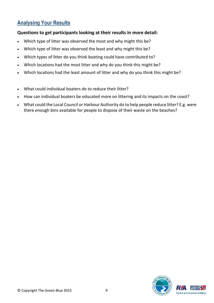#### **Analysing Your Results**

#### **Questions to get participants looking at their results in more detail:**

- Which type of litter was observed the most and why might this be?
- Which type of litter was observed the least and why might this be?
- Which types of litter do you think boating could have contributed to?
- Which locations had the most litter and why do you think this might be?
- Which locations had the least amount of litter and why do you think this might be?
- What could individual boaters do to reduce their litter?
- How can individual boaters be educated more on littering and its impacts on the coast?
- What could the Local Council or Harbour Authority do to help people reduce litter? E.g. were there enough bins available for people to dispose of their waste on the beaches?

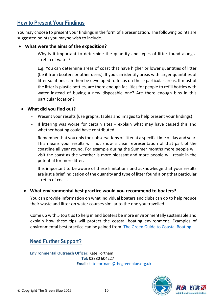#### **How to Present Your Findings**

You may choose to present your findings in the form of a presentation. The following points are suggested points you maybe wish to include.

#### **What were the aims of the expedition?**

Why is it important to determine the quantity and types of litter found along a stretch of water?

E.g. You can determine areas of coast that have higher or lower quantities of litter (be it from boaters or other users). If you can identify areas with larger quantities of litter solutions can then be developed to focus on these particular areas. If most of the litter is plastic bottles, are there enough facilities for people to refill bottles with water instead of buying a new disposable one? Are there enough bins in this particular location?

#### **What did you find out?**

- Present your results (use graphs, tables and images to help present your findings).
- If littering was worse for certain sites explain what may have caused this and whether boating could have contributed.
- Remember that you only took observations of litter at a specific time of day and year. This means your results will not show a clear representation of that part of the coastline all year round. For example during the Summer months more people will visit the coast as the weather is more pleasant and more people will result in the potential for more litter.

It is important to be aware of these limitations and acknowledge that your results are just a brief indication of the quantity and type of litter found along that particular stretch of coast.

#### **What environmental best practice would you recommend to boaters?**

You can provide information on what individual boaters and clubs can do to help reduce their waste and litter on water courses similar to the one you travelled.

Come up with 5 top tips to help inland boaters be more environmentally sustainable and explain how these tips will protect the coastal boating environment. Examples of environmental best practice can be gained from ['The Green Guide to](http://www.thegreenblue.org.uk/PDF/Guide%20to%20Inland%20Boating.pdf) Coastal Boating'.

#### **Need Further Support?**

**Environmental Outreach Officer:** Kate Fortnam **Tel:** [02380](tel:02380) 604227  **Email:** [kate.fortnam@thegreenblue.org.uk](mailto:kate.fortnam@thegreenblue.org.uk)